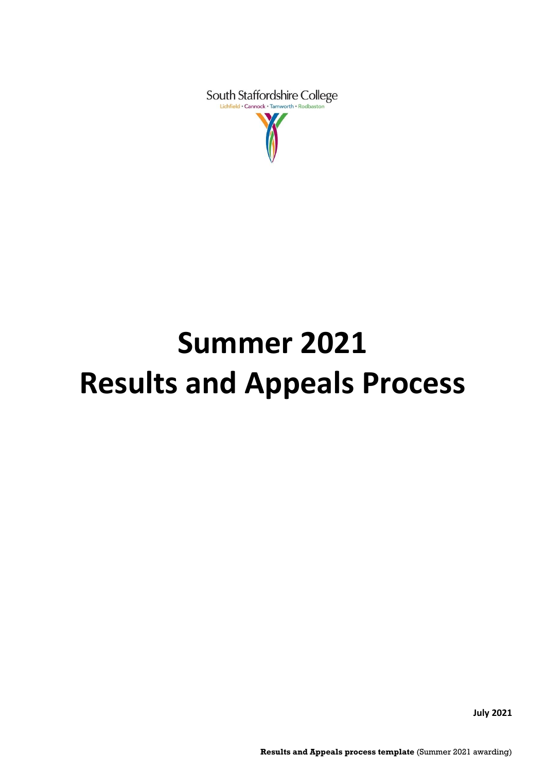South Staffordshire College

# **Summer 2021 Results and Appeals Process**

**July 2021**

**Results and Appeals process template** (Summer 2021 awarding)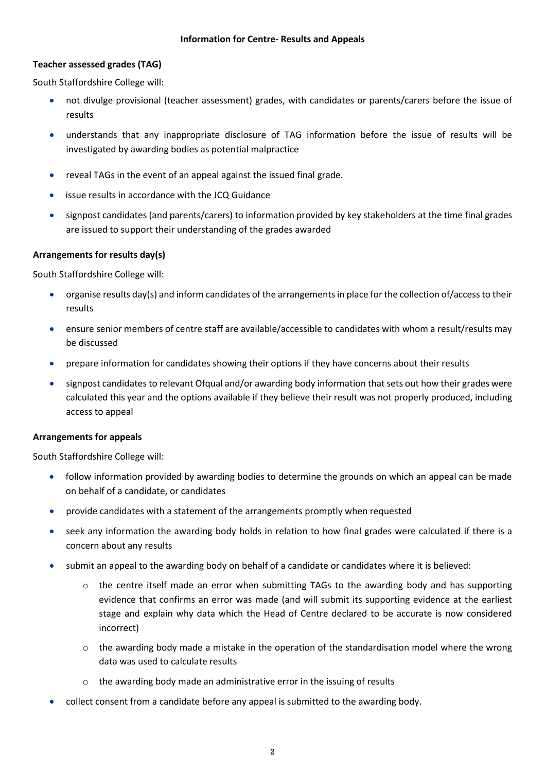## **Teacher assessed grades (TAG)**

South Staffordshire College will:

- not divulge provisional (teacher assessment) grades, with candidates or parents/carers before the issue of results
- understands that any inappropriate disclosure of TAG information before the issue of results will be investigated by awarding bodies as potential malpractice
- reveal TAGs in the event of an appeal against the issued final grade.
- issue results in accordance with the JCQ Guidance
- signpost candidates (and parents/carers) to information provided by key stakeholders at the time final grades are issued to support their understanding of the grades awarded

## **Arrangements for results day(s)**

South Staffordshire College will:

- organise results day(s) and inform candidates of the arrangements in place for the collection of/access to their results
- ensure senior members of centre staff are available/accessible to candidates with whom a result/results may be discussed
- prepare information for candidates showing their options if they have concerns about their results
- signpost candidates to relevant Ofqual and/or awarding body information that sets out how their grades were calculated this year and the options available if they believe their result was not properly produced, including access to appeal

#### **Arrangements for appeals**

South Staffordshire College will:

- follow information provided by awarding bodies to determine the grounds on which an appeal can be made on behalf of a candidate, or candidates
- provide candidates with a statement of the arrangements promptly when requested
- seek any information the awarding body holds in relation to how final grades were calculated if there is a concern about any results
- submit an appeal to the awarding body on behalf of a candidate or candidates where it is believed:
	- $\circ$  the centre itself made an error when submitting TAGs to the awarding body and has supporting evidence that confirms an error was made (and will submit its supporting evidence at the earliest stage and explain why data which the Head of Centre declared to be accurate is now considered incorrect)
	- $\circ$  the awarding body made a mistake in the operation of the standardisation model where the wrong data was used to calculate results
	- o the awarding body made an administrative error in the issuing of results
- collect consent from a candidate before any appeal is submitted to the awarding body.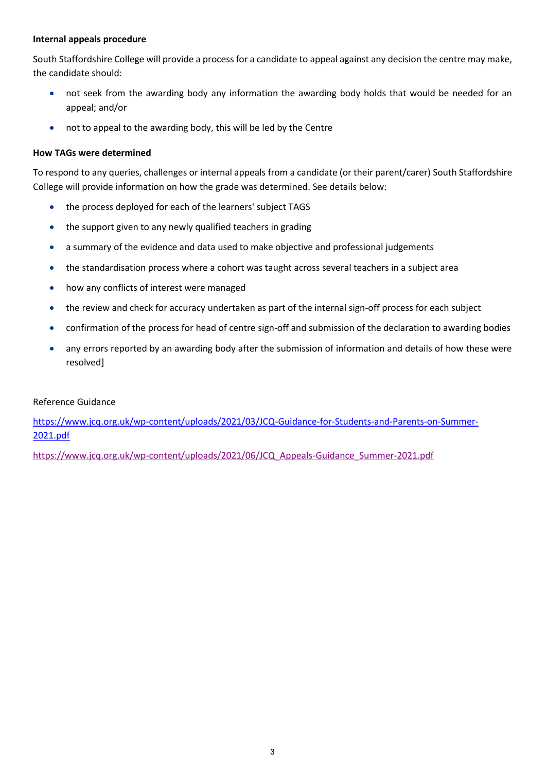#### **Internal appeals procedure**

South Staffordshire College will provide a process for a candidate to appeal against any decision the centre may make, the candidate should:

- not seek from the awarding body any information the awarding body holds that would be needed for an appeal; and/or
- not to appeal to the awarding body, this will be led by the Centre

## **How TAGs were determined**

To respond to any queries, challenges or internal appeals from a candidate (or their parent/carer) South Staffordshire College will provide information on how the grade was determined. See details below:

- the process deployed for each of the learners' subject TAGS
- the support given to any newly qualified teachers in grading
- a summary of the evidence and data used to make objective and professional judgements
- the standardisation process where a cohort was taught across several teachers in a subject area
- how any conflicts of interest were managed
- the review and check for accuracy undertaken as part of the internal sign-off process for each subject
- confirmation of the process for head of centre sign-off and submission of the declaration to awarding bodies
- any errors reported by an awarding body after the submission of information and details of how these were resolved]

#### Reference Guidance

[https://www.jcq.org.uk/wp-content/uploads/2021/03/JCQ-Guidance-for-Students-and-Parents-on-Summer-](https://www.jcq.org.uk/wp-content/uploads/2021/03/JCQ-Guidance-for-Students-and-Parents-on-Summer-2021.pdf)[2021.pdf](https://www.jcq.org.uk/wp-content/uploads/2021/03/JCQ-Guidance-for-Students-and-Parents-on-Summer-2021.pdf)

[https://www.jcq.org.uk/wp-content/uploads/2021/06/JCQ\\_Appeals-Guidance\\_Summer-2021.pdf](https://www.jcq.org.uk/wp-content/uploads/2021/06/JCQ_Appeals-Guidance_Summer-2021.pdf)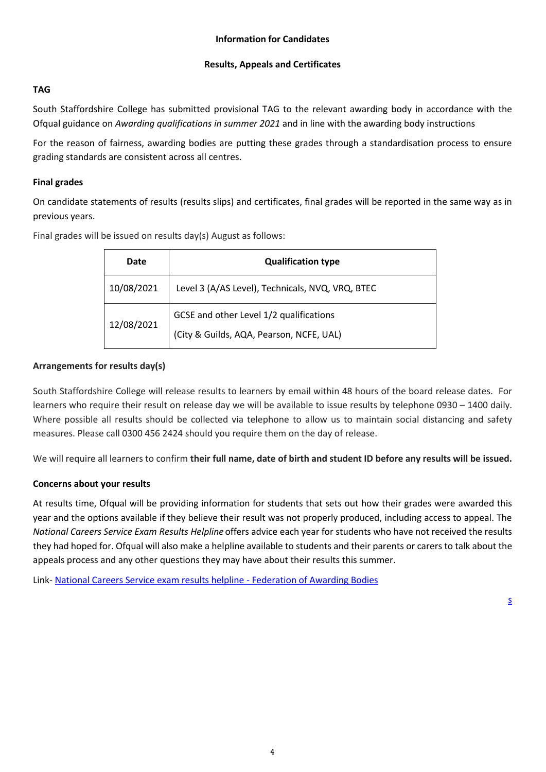# **Results, Appeals and Certificates**

# **TAG**

South Staffordshire College has submitted provisional TAG to the relevant awarding body in accordance with the Ofqual guidance on *Awarding qualifications in summer 2021* and in line with the awarding body instructions

For the reason of fairness, awarding bodies are putting these grades through a standardisation process to ensure grading standards are consistent across all centres.

## **Final grades**

On candidate statements of results (results slips) and certificates, final grades will be reported in the same way as in previous years.

Final grades will be issued on results day(s) August as follows:

| Date       | <b>Qualification type</b>                                                           |  |
|------------|-------------------------------------------------------------------------------------|--|
| 10/08/2021 | Level 3 (A/AS Level), Technicals, NVQ, VRQ, BTEC                                    |  |
| 12/08/2021 | GCSE and other Level 1/2 qualifications<br>(City & Guilds, AQA, Pearson, NCFE, UAL) |  |

## **Arrangements for results day(s)**

South Staffordshire College will release results to learners by email within 48 hours of the board release dates. For learners who require their result on release day we will be available to issue results by telephone 0930 – 1400 daily. Where possible all results should be collected via telephone to allow us to maintain social distancing and safety measures. Please call 0300 456 2424 should you require them on the day of release.

We will require all learners to confirm **their full name, date of birth and student ID before any results will be issued.**

# **Concerns about your results**

At results time, Ofqual will be providing information for students that sets out how their grades were awarded this year and the options available if they believe their result was not properly produced, including access to appeal. The *National Careers Service Exam Results Helpline* offers advice each year for students who have not received the results they had hoped for. Ofqual will also make a helpline available to students and their parents or carers to talk about the appeals process and any other questions they may have about their results this summer.

Link- [National Careers Service exam results helpline -](https://awarding.org.uk/national-careers-service-exam-results-helpline/) Federation of Awarding Bodies

[s](https://www.gov.uk/careers-helpline-for-teenagers)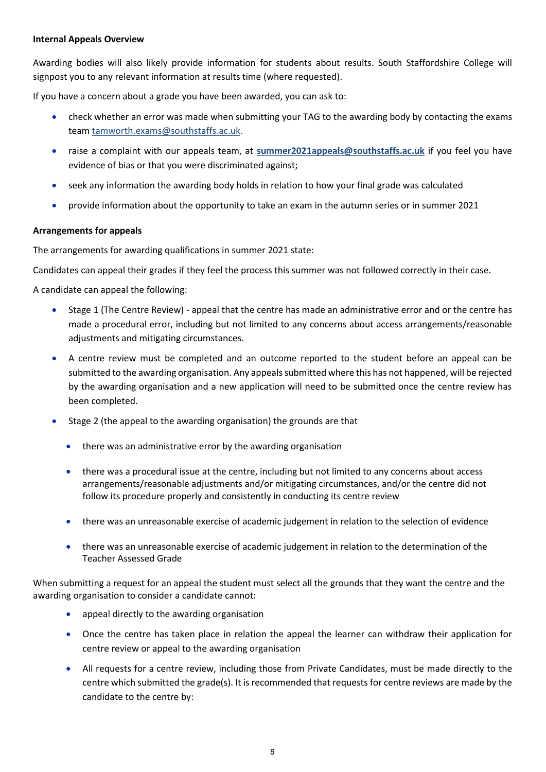#### **Internal Appeals Overview**

Awarding bodies will also likely provide information for students about results. South Staffordshire College will signpost you to any relevant information at results time (where requested).

If you have a concern about a grade you have been awarded, you can ask to:

- check whether an error was made when submitting your TAG to the awarding body by contacting the exams team [tamworth.exams@southstaffs.ac.uk.](mailto:tamworth.exams@southstaffs.ac.uk)
- raise a complaint with our appeals team, at **[summer2021appeals@southstaffs.ac.uk](mailto:summer2020appeals@southstaffs.ac.uk)** if you feel you have evidence of bias or that you were discriminated against;
- seek any information the awarding body holds in relation to how your final grade was calculated
- provide information about the opportunity to take an exam in the autumn series or in summer 2021

#### **Arrangements for appeals**

The arrangements for awarding qualifications in summer 2021 state:

Candidates can appeal their grades if they feel the process this summer was not followed correctly in their case.

A candidate can appeal the following:

- Stage 1 (The Centre Review) appeal that the centre has made an administrative error and or the centre has made a procedural error, including but not limited to any concerns about access arrangements/reasonable adjustments and mitigating circumstances.
- A centre review must be completed and an outcome reported to the student before an appeal can be submitted to the awarding organisation. Any appeals submitted where this has not happened, will be rejected by the awarding organisation and a new application will need to be submitted once the centre review has been completed.
- Stage 2 (the appeal to the awarding organisation) the grounds are that
	- there was an administrative error by the awarding organisation
	- there was a procedural issue at the centre, including but not limited to any concerns about access arrangements/reasonable adjustments and/or mitigating circumstances, and/or the centre did not follow its procedure properly and consistently in conducting its centre review
	- there was an unreasonable exercise of academic judgement in relation to the selection of evidence
	- there was an unreasonable exercise of academic judgement in relation to the determination of the Teacher Assessed Grade

When submitting a request for an appeal the student must select all the grounds that they want the centre and the awarding organisation to consider a candidate cannot:

- appeal directly to the awarding organisation
- Once the centre has taken place in relation the appeal the learner can withdraw their application for centre review or appeal to the awarding organisation
- All requests for a centre review, including those from Private Candidates, must be made directly to the centre which submitted the grade(s). It is recommended that requests for centre reviews are made by the candidate to the centre by: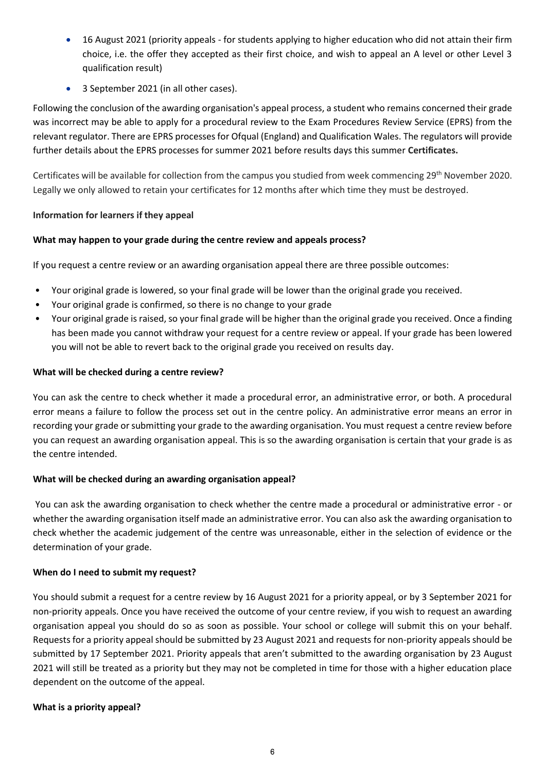- 16 August 2021 (priority appeals for students applying to higher education who did not attain their firm choice, i.e. the offer they accepted as their first choice, and wish to appeal an A level or other Level 3 qualification result)
- 3 September 2021 (in all other cases).

Following the conclusion of the awarding organisation's appeal process, a student who remains concerned their grade was incorrect may be able to apply for a procedural review to the Exam Procedures Review Service (EPRS) from the relevant regulator. There are EPRS processes for Ofqual (England) and Qualification Wales. The regulators will provide further details about the EPRS processes for summer 2021 before results days this summer **Certificates.**

Certificates will be available for collection from the campus you studied from week commencing 29<sup>th</sup> November 2020. Legally we only allowed to retain your certificates for 12 months after which time they must be destroyed.

## **Information for learners if they appeal**

## **What may happen to your grade during the centre review and appeals process?**

If you request a centre review or an awarding organisation appeal there are three possible outcomes:

- Your original grade is lowered, so your final grade will be lower than the original grade you received.
- Your original grade is confirmed, so there is no change to your grade
- Your original grade is raised, so your final grade will be higher than the original grade you received. Once a finding has been made you cannot withdraw your request for a centre review or appeal. If your grade has been lowered you will not be able to revert back to the original grade you received on results day.

## **What will be checked during a centre review?**

You can ask the centre to check whether it made a procedural error, an administrative error, or both. A procedural error means a failure to follow the process set out in the centre policy. An administrative error means an error in recording your grade or submitting your grade to the awarding organisation. You must request a centre review before you can request an awarding organisation appeal. This is so the awarding organisation is certain that your grade is as the centre intended.

## **What will be checked during an awarding organisation appeal?**

You can ask the awarding organisation to check whether the centre made a procedural or administrative error - or whether the awarding organisation itself made an administrative error. You can also ask the awarding organisation to check whether the academic judgement of the centre was unreasonable, either in the selection of evidence or the determination of your grade.

## **When do I need to submit my request?**

You should submit a request for a centre review by 16 August 2021 for a priority appeal, or by 3 September 2021 for non-priority appeals. Once you have received the outcome of your centre review, if you wish to request an awarding organisation appeal you should do so as soon as possible. Your school or college will submit this on your behalf. Requests for a priority appeal should be submitted by 23 August 2021 and requests for non-priority appeals should be submitted by 17 September 2021. Priority appeals that aren't submitted to the awarding organisation by 23 August 2021 will still be treated as a priority but they may not be completed in time for those with a higher education place dependent on the outcome of the appeal.

#### **What is a priority appeal?**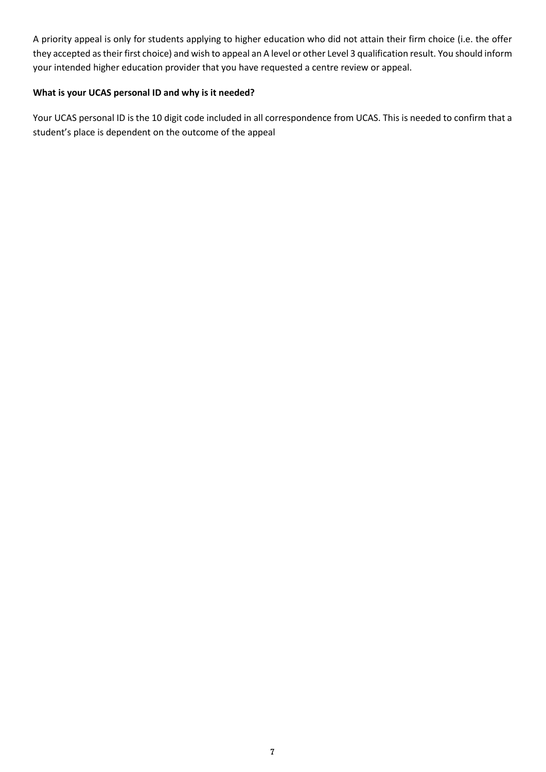A priority appeal is only for students applying to higher education who did not attain their firm choice (i.e. the offer they accepted as their first choice) and wish to appeal an A level or other Level 3 qualification result. You should inform your intended higher education provider that you have requested a centre review or appeal.

## **What is your UCAS personal ID and why is it needed?**

Your UCAS personal ID is the 10 digit code included in all correspondence from UCAS. This is needed to confirm that a student's place is dependent on the outcome of the appeal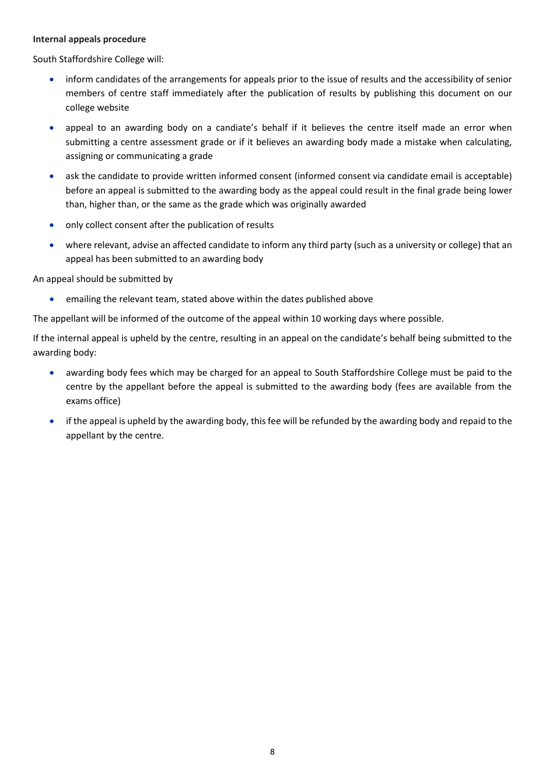#### **Internal appeals procedure**

South Staffordshire College will:

- inform candidates of the arrangements for appeals prior to the issue of results and the accessibility of senior members of centre staff immediately after the publication of results by publishing this document on our college website
- appeal to an awarding body on a candiate's behalf if it believes the centre itself made an error when submitting a centre assessment grade or if it believes an awarding body made a mistake when calculating, assigning or communicating a grade
- ask the candidate to provide written informed consent (informed consent via candidate email is acceptable) before an appeal is submitted to the awarding body as the appeal could result in the final grade being lower than, higher than, or the same as the grade which was originally awarded
- only collect consent after the publication of results
- where relevant, advise an affected candidate to inform any third party (such as a university or college) that an appeal has been submitted to an awarding body

An appeal should be submitted by

• emailing the relevant team, stated above within the dates published above

The appellant will be informed of the outcome of the appeal within 10 working days where possible.

If the internal appeal is upheld by the centre, resulting in an appeal on the candidate's behalf being submitted to the awarding body:

- awarding body fees which may be charged for an appeal to South Staffordshire College must be paid to the centre by the appellant before the appeal is submitted to the awarding body (fees are available from the exams office)
- if the appeal is upheld by the awarding body, this fee will be refunded by the awarding body and repaid to the appellant by the centre.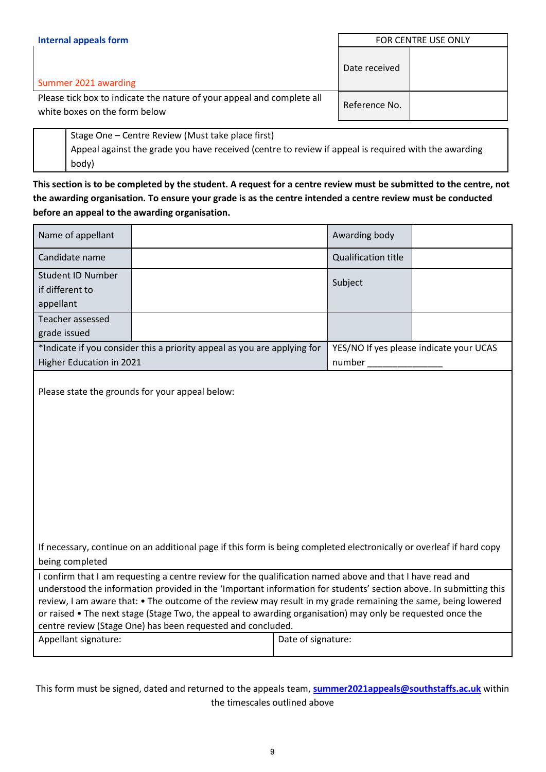| <b>Internal appeals form</b>                                                                            | FOR CENTRE USE ONLY |  |
|---------------------------------------------------------------------------------------------------------|---------------------|--|
| Summer 2021 awarding                                                                                    | Date received       |  |
| Please tick box to indicate the nature of your appeal and complete all<br>white boxes on the form below | Reference No.       |  |

| Stage One – Centre Review (Must take place first)                                                    |
|------------------------------------------------------------------------------------------------------|
| Appeal against the grade you have received (centre to review if appeal is required with the awarding |
| body)                                                                                                |

**This section is to be completed by the student. A request for a centre review must be submitted to the centre, not the awarding organisation. To ensure your grade is as the centre intended a centre review must be conducted before an appeal to the awarding organisation.** 

| Name of appellant                                                                                                                                                                                                                                                                                                                                                                                                                                                                                                                                                          |                                                 |  | Awarding body                           |  |
|----------------------------------------------------------------------------------------------------------------------------------------------------------------------------------------------------------------------------------------------------------------------------------------------------------------------------------------------------------------------------------------------------------------------------------------------------------------------------------------------------------------------------------------------------------------------------|-------------------------------------------------|--|-----------------------------------------|--|
| Candidate name                                                                                                                                                                                                                                                                                                                                                                                                                                                                                                                                                             |                                                 |  | <b>Qualification title</b>              |  |
| <b>Student ID Number</b><br>if different to<br>appellant                                                                                                                                                                                                                                                                                                                                                                                                                                                                                                                   |                                                 |  | Subject                                 |  |
| Teacher assessed<br>grade issued                                                                                                                                                                                                                                                                                                                                                                                                                                                                                                                                           |                                                 |  |                                         |  |
| *Indicate if you consider this a priority appeal as you are applying for<br>Higher Education in 2021                                                                                                                                                                                                                                                                                                                                                                                                                                                                       |                                                 |  | YES/NO If yes please indicate your UCAS |  |
|                                                                                                                                                                                                                                                                                                                                                                                                                                                                                                                                                                            | Please state the grounds for your appeal below: |  |                                         |  |
| If necessary, continue on an additional page if this form is being completed electronically or overleaf if hard copy<br>being completed                                                                                                                                                                                                                                                                                                                                                                                                                                    |                                                 |  |                                         |  |
| I confirm that I am requesting a centre review for the qualification named above and that I have read and<br>understood the information provided in the 'Important information for students' section above. In submitting this<br>review, I am aware that: • The outcome of the review may result in my grade remaining the same, being lowered<br>or raised • The next stage (Stage Two, the appeal to awarding organisation) may only be requested once the<br>centre review (Stage One) has been requested and concluded.<br>Appellant signature:<br>Date of signature: |                                                 |  |                                         |  |
|                                                                                                                                                                                                                                                                                                                                                                                                                                                                                                                                                                            |                                                 |  |                                         |  |

This form must be signed, dated and returned to the appeals team, **[summer2021appeals@southstaffs.ac.uk](mailto:summer2020appeals@southstaffs.ac.uk)** within the timescales outlined above